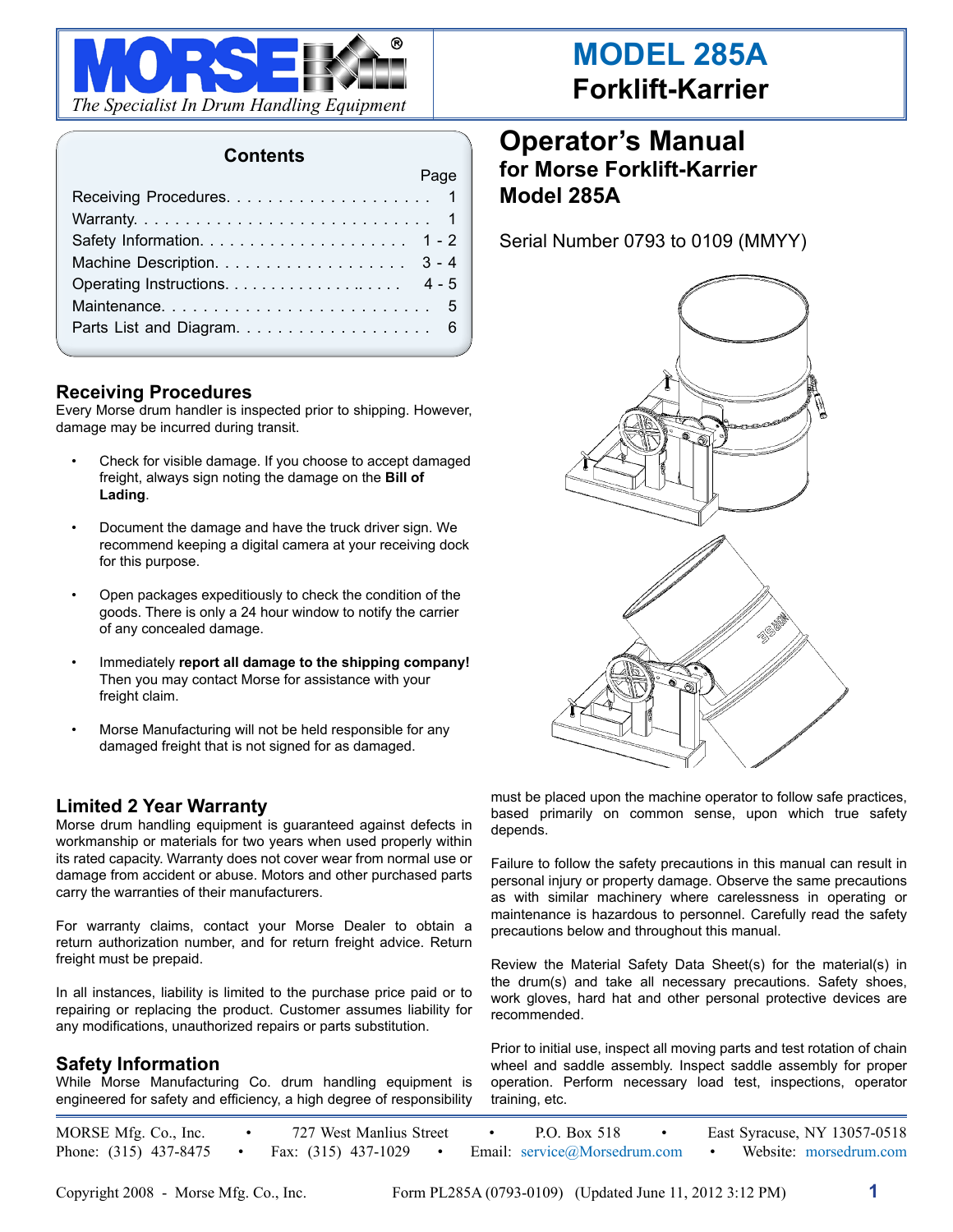

### **Contents**

Page

| and the contract of the contract of the contract of the contract of the contract of the contract of the contract of the contract of the contract of the contract of the contract of the contract of the contract of the contra |  |
|--------------------------------------------------------------------------------------------------------------------------------------------------------------------------------------------------------------------------------|--|
|                                                                                                                                                                                                                                |  |
|                                                                                                                                                                                                                                |  |
|                                                                                                                                                                                                                                |  |
|                                                                                                                                                                                                                                |  |
|                                                                                                                                                                                                                                |  |
|                                                                                                                                                                                                                                |  |
|                                                                                                                                                                                                                                |  |
|                                                                                                                                                                                                                                |  |

#### **Receiving Procedures**

Every Morse drum handler is inspected prior to shipping. However, damage may be incurred during transit.

- Check for visible damage. If you choose to accept damaged freight, always sign noting the damage on the **Bill of Lading**.
- • Document the damage and have the truck driver sign. We recommend keeping a digital camera at your receiving dock for this purpose.
- Open packages expeditiously to check the condition of the goods. There is only a 24 hour window to notify the carrier of any concealed damage.
- Immediately **report all damage to the shipping company!** Then you may contact Morse for assistance with your freight claim.
- Morse Manufacturing will not be held responsible for any damaged freight that is not signed for as damaged.

## **Limited 2 Year Warranty**

Morse drum handling equipment is guaranteed against defects in workmanship or materials for two years when used properly within its rated capacity. Warranty does not cover wear from normal use or damage from accident or abuse. Motors and other purchased parts carry the warranties of their manufacturers.

For warranty claims, contact your Morse Dealer to obtain a return authorization number, and for return freight advice. Return freight must be prepaid.

In all instances, liability is limited to the purchase price paid or to repairing or replacing the product. Customer assumes liability for any modifications, unauthorized repairs or parts substitution.

### **Safety Information**

While Morse Manufacturing Co. drum handling equipment is engineered for safety and efficiency, a high degree of responsibility

# **Operator's Manual for Morse Forklift-Karrier Model 285A**

Serial Number 0793 to 0109 (MMYY)



must be placed upon the machine operator to follow safe practices, based primarily on common sense, upon which true safety depends.

Failure to follow the safety precautions in this manual can result in personal injury or property damage. Observe the same precautions as with similar machinery where carelessness in operating or maintenance is hazardous to personnel. Carefully read the safety precautions below and throughout this manual.

Review the Material Safety Data Sheet(s) for the material(s) in the drum(s) and take all necessary precautions. Safety shoes, work gloves, hard hat and other personal protective devices are recommended.

Prior to initial use, inspect all moving parts and test rotation of chain wheel and saddle assembly. Inspect saddle assembly for proper operation. Perform necessary load test, inspections, operator training, etc.

MORSE Mfg. Co., Inc. • 727 West Manlius Street • P.O. Box 518 • East Syracuse, NY 13057-0518 Phone: (315) 437-8475 • Fax: (315) 437-1029 • Email: service@Morsedrum.com • Website: morsedrum.com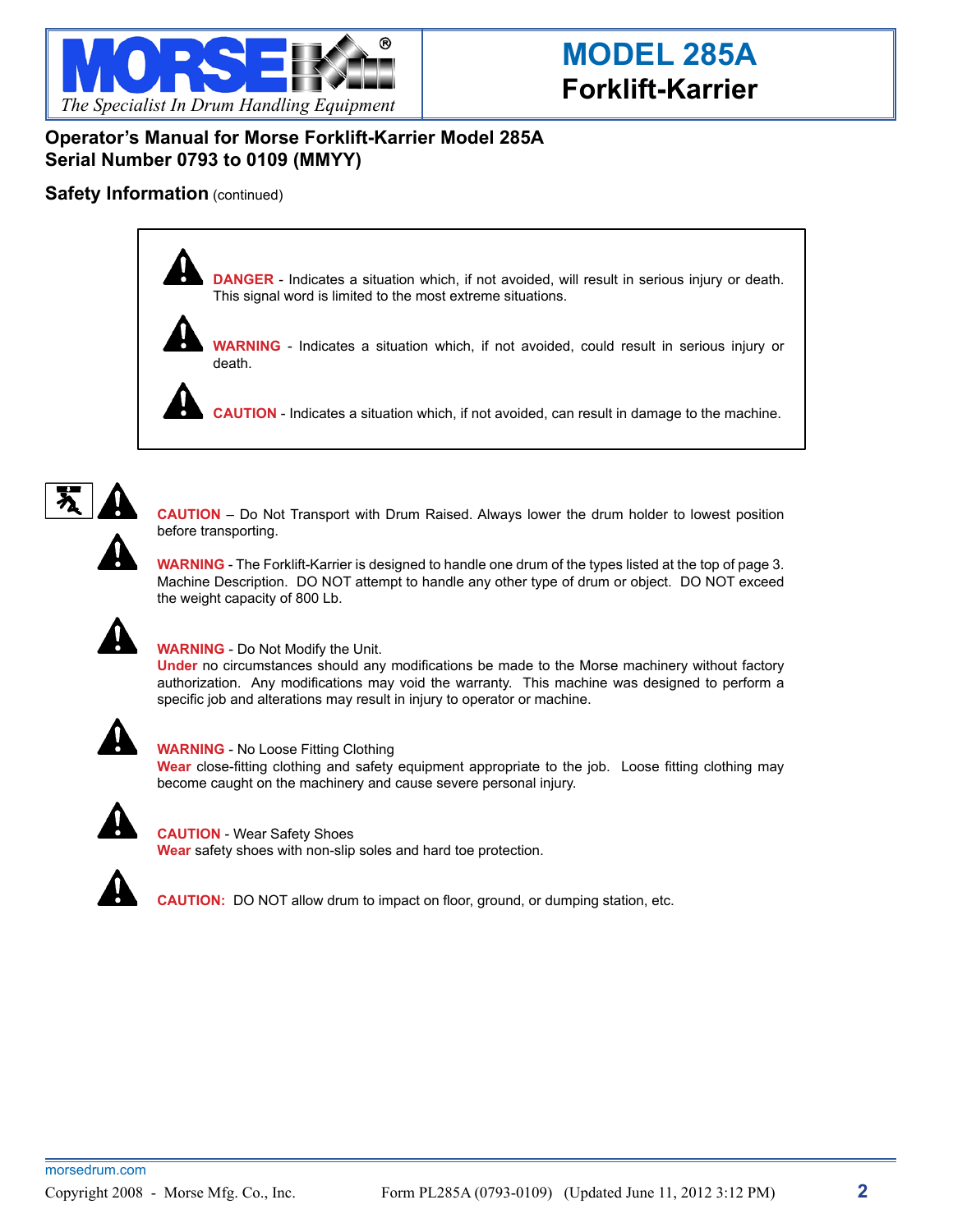

## **Operator's Manual for Morse Forklift-Karrier Model 285A Serial Number 0793 to 0109 (MMYY)**

### **Safety Information** (continued)



**DANGER** - Indicates a situation which, if not avoided, will result in serious injury or death. This signal word is limited to the most extreme situations.



**WARNING** - Indicates a situation which, if not avoided, could result in serious injury or death.

**CAUTION** - Indicates a situation which, if not avoided, can result in damage to the machine.



**CAUTION** – Do Not Transport with Drum Raised. Always lower the drum holder to lowest position before transporting.

**WARNING** - The Forklift-Karrier is designed to handle one drum of the types listed at the top of page 3. Machine Description. DO NOT attempt to handle any other type of drum or object. DO NOT exceed the weight capacity of 800 Lb.



#### **WARNING** - Do Not Modify the Unit.

**Under** no circumstances should any modifications be made to the Morse machinery without factory authorization. Any modifications may void the warranty. This machine was designed to perform a specific job and alterations may result in injury to operator or machine.



#### **WARNING** - No Loose Fitting Clothing

**Wear** close-fitting clothing and safety equipment appropriate to the job. Loose fitting clothing may become caught on the machinery and cause severe personal injury.



**CAUTION** - Wear Safety Shoes **Wear** safety shoes with non-slip soles and hard toe protection.



**CAUTION:** DO NOT allow drum to impact on floor, ground, or dumping station, etc.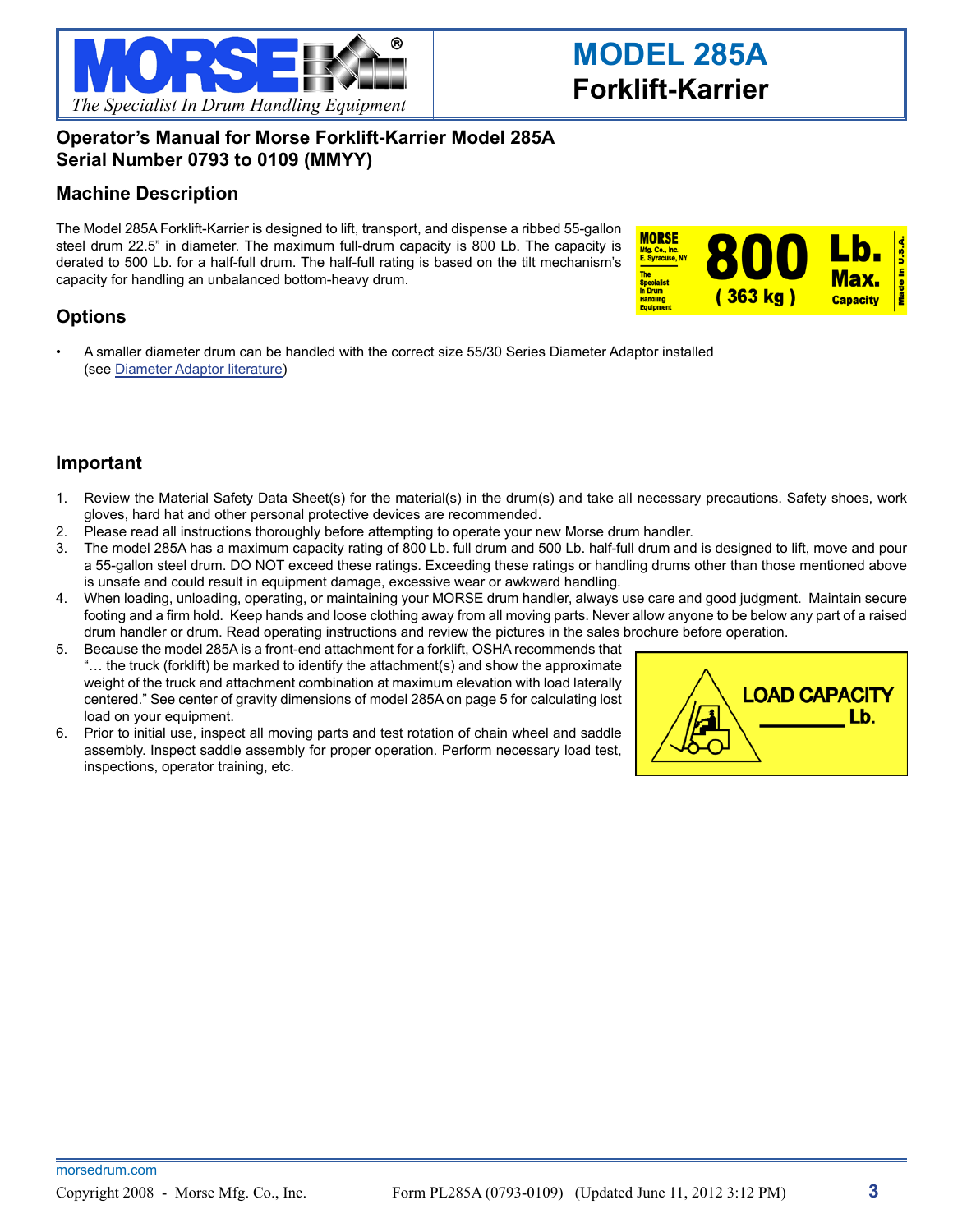

## **Operator's Manual for Morse Forklift-Karrier Model 285A Serial Number 0793 to 0109 (MMYY)**

## **Machine Description**

The Model 285A Forklift-Karrier is designed to lift, transport, and dispense a ribbed 55-gallon steel drum 22.5" in diameter. The maximum full-drum capacity is 800 Lb. The capacity is derated to 500 Lb. for a half-full drum. The half-full rating is based on the tilt mechanism's capacity for handling an unbalanced bottom-heavy drum.



## **Options**

A smaller diameter drum can be handled with the correct size 55/30 Series Diameter Adaptor installed (see [Diameter Adaptor literature\)](http://morsedrum.com/lit/55-30-Diameter-Adaptors.pdf)

### **Important**

- 1. Review the Material Safety Data Sheet(s) for the material(s) in the drum(s) and take all necessary precautions. Safety shoes, work gloves, hard hat and other personal protective devices are recommended.
- 2. Please read all instructions thoroughly before attempting to operate your new Morse drum handler.
- 3. The model 285A has a maximum capacity rating of 800 Lb. full drum and 500 Lb. half-full drum and is designed to lift, move and pour a 55-gallon steel drum. DO NOT exceed these ratings. Exceeding these ratings or handling drums other than those mentioned above is unsafe and could result in equipment damage, excessive wear or awkward handling.
- 4. When loading, unloading, operating, or maintaining your MORSE drum handler, always use care and good judgment. Maintain secure footing and a firm hold. Keep hands and loose clothing away from all moving parts. Never allow anyone to be below any part of a raised drum handler or drum. Read operating instructions and review the pictures in the sales brochure before operation.
- 5. Because the model 285A is a front-end attachment for a forklift, OSHA recommends that "… the truck (forklift) be marked to identify the attachment(s) and show the approximate weight of the truck and attachment combination at maximum elevation with load laterally centered." See center of gravity dimensions of model 285A on page 5 for calculating lost load on your equipment.
- 6. Prior to initial use, inspect all moving parts and test rotation of chain wheel and saddle assembly. Inspect saddle assembly for proper operation. Perform necessary load test, inspections, operator training, etc.

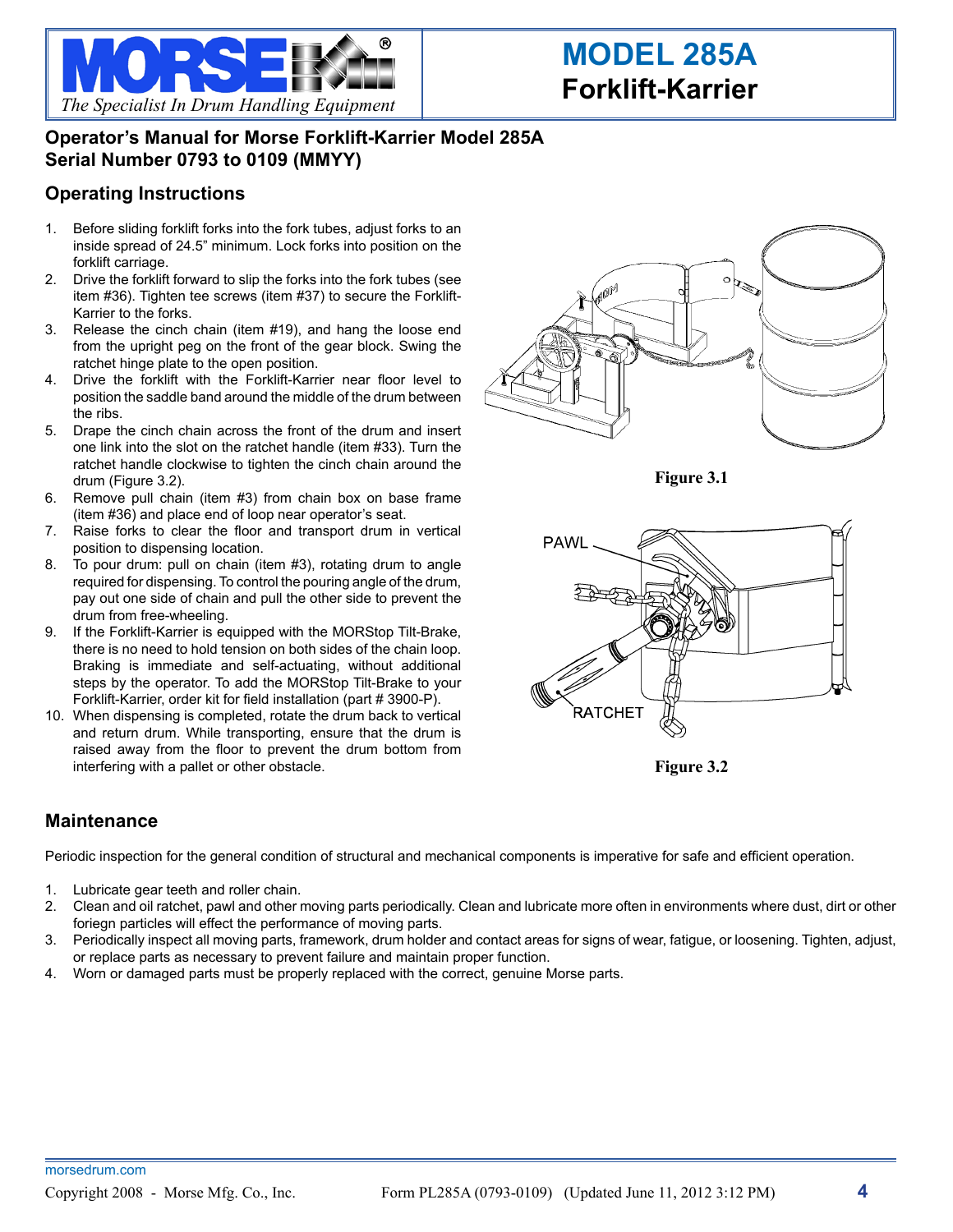

# **Operator's Manual for Morse Forklift-Karrier Model 285A Serial Number 0793 to 0109 (MMYY)**

## **Operating Instructions**

- 1. Before sliding forklift forks into the fork tubes, adjust forks to an inside spread of 24.5" minimum. Lock forks into position on the forklift carriage.
- 2. Drive the forklift forward to slip the forks into the fork tubes (see item #36). Tighten tee screws (item #37) to secure the Forklift-Karrier to the forks.
- 3. Release the cinch chain (item #19), and hang the loose end from the upright peg on the front of the gear block. Swing the ratchet hinge plate to the open position.
- 4. Drive the forklift with the Forklift-Karrier near floor level to position the saddle band around the middle of the drum between the ribs.
- 5. Drape the cinch chain across the front of the drum and insert one link into the slot on the ratchet handle (item #33). Turn the ratchet handle clockwise to tighten the cinch chain around the drum (Figure 3.2).
- 6. Remove pull chain (item #3) from chain box on base frame (item #36) and place end of loop near operator's seat.
- 7. Raise forks to clear the floor and transport drum in vertical position to dispensing location.
- 8. To pour drum: pull on chain (item #3), rotating drum to angle required for dispensing. To control the pouring angle of the drum, pay out one side of chain and pull the other side to prevent the drum from free-wheeling.
- 9. If the Forklift-Karrier is equipped with the MORStop Tilt-Brake, there is no need to hold tension on both sides of the chain loop. Braking is immediate and self-actuating, without additional steps by the operator. To add the MORStop Tilt-Brake to your Forklift-Karrier, order kit for field installation (part # 3900-P).
- 10. When dispensing is completed, rotate the drum back to vertical and return drum. While transporting, ensure that the drum is raised away from the floor to prevent the drum bottom from interfering with a pallet or other obstacle.

### **Maintenance**

Periodic inspection for the general condition of structural and mechanical components is imperative for safe and efficient operation.

- 1. Lubricate gear teeth and roller chain.
- 2. Clean and oil ratchet, pawl and other moving parts periodically. Clean and lubricate more often in environments where dust, dirt or other foriegn particles will effect the performance of moving parts.
- 3. Periodically inspect all moving parts, framework, drum holder and contact areas for signs of wear, fatigue, or loosening. Tighten, adjust, or replace parts as necessary to prevent failure and maintain proper function.
- 4. Worn or damaged parts must be properly replaced with the correct, genuine Morse parts.



**Figure 3.1**



**Figure 3.2**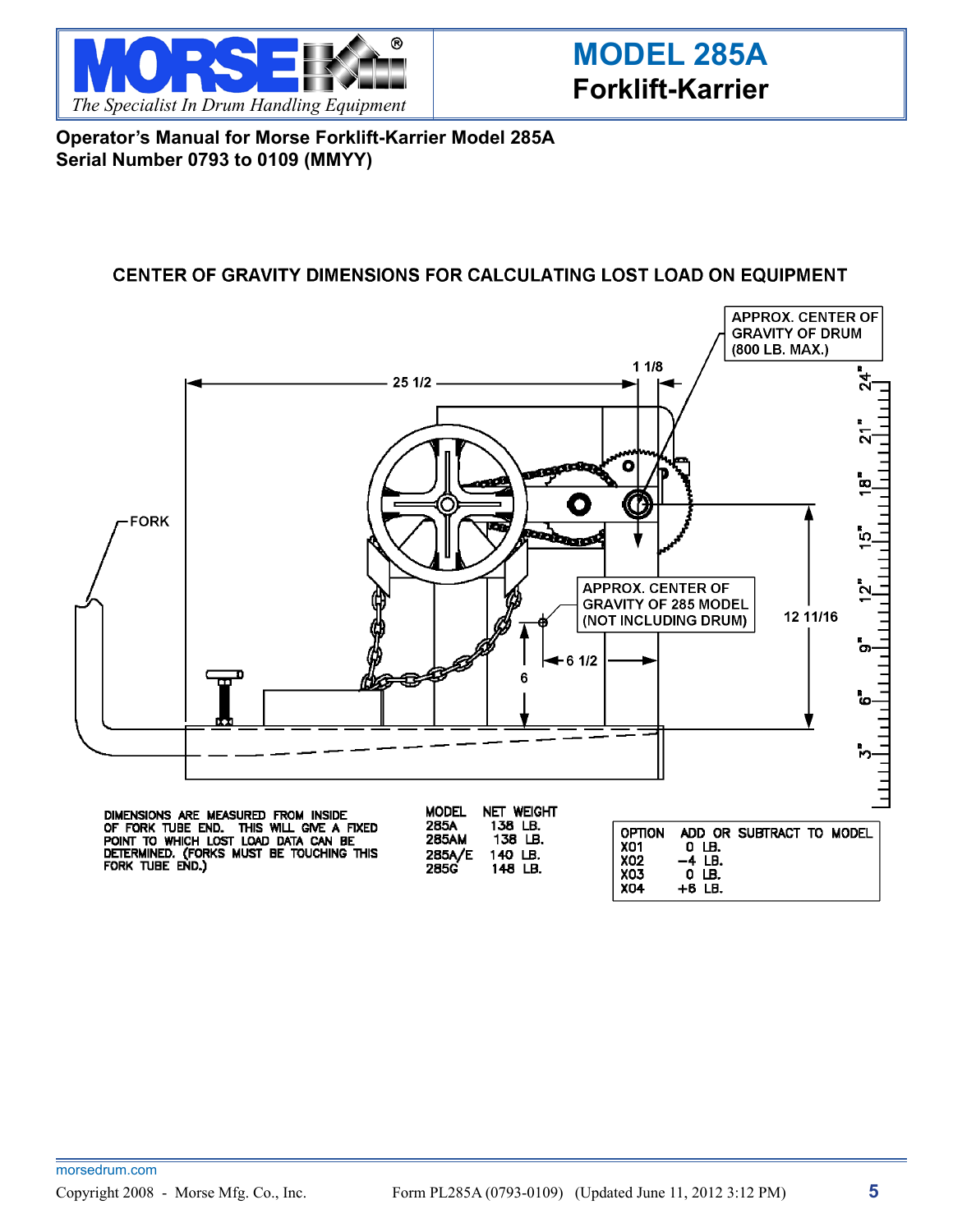

**Operator's Manual for Morse Forklift-Karrier Model 285A Serial Number 0793 to 0109 (MMYY)**

## CENTER OF GRAVITY DIMENSIONS FOR CALCULATING LOST LOAD ON EQUIPMENT



DIMENSIONS ARE MEASURED FROM INSIDE<br>OF FORK TUBE END. THIS WILL GIVE A FIXED<br>POINT TO WHICH LOST LOAD DATA CAN BE<br>DETERMINED. (FORKS MUST BE TOUCHING THIS<br>FORK TUBE END.)

285A 138 LB. **285AM** 138 LB. 285A/E<br>285G 140 LB. 148 LB.

**OPTION** ADD OR SUBTRACT TO MODEL X01<br>X02  $0 \text{ }\overline{\text{ }\theta}$ .<br>-4 LB. X03  $0$  LB. **X04**  $+6$  LB.